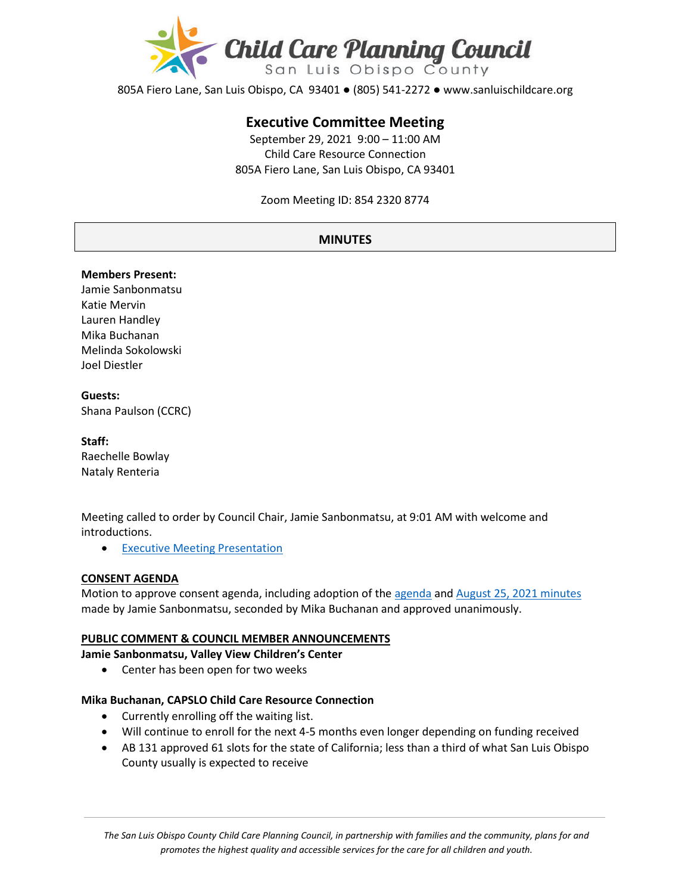

805A Fiero Lane, San Luis Obispo, CA 93401 ● (805) 541-2272 ● www.sanluischildcare.org

# **Executive Committee Meeting**

September 29, 2021 9:00 – 11:00 AM Child Care Resource Connection 805A Fiero Lane, San Luis Obispo, CA 93401

Zoom Meeting ID: 854 2320 8774

## **MINUTES**

#### **Members Present:**

Jamie Sanbonmatsu Katie Mervin Lauren Handley Mika Buchanan Melinda Sokolowski Joel Diestler

#### **Guests:**  Shana Paulson (CCRC)

**Staff:** Raechelle Bowlay Nataly Renteria

Meeting called to order by Council Chair, Jamie Sanbonmatsu, at 9:01 AM with welcome and introductions.

**Executive Meeting Presentation** 

### **CONSENT AGENDA**

Motion to approve consent agenda, including adoption of the [agenda](https://drive.google.com/file/d/1p1F4isi0-tIRg7qmUVCoK6MWHkTvWmtv/view?usp=sharing) and [August 25](https://drive.google.com/file/d/1ZqiFcQs06f0n0d-WOOewaRK1ArkHpZsT/view?usp=sharing), 2021 minutes made by Jamie Sanbonmatsu, seconded by Mika Buchanan and approved unanimously.

#### **PUBLIC COMMENT & COUNCIL MEMBER ANNOUNCEMENTS**

**Jamie Sanbonmatsu, Valley View Children's Center**

• Center has been open for two weeks

#### **Mika Buchanan, CAPSLO Child Care Resource Connection**

- Currently enrolling off the waiting list.
- Will continue to enroll for the next 4-5 months even longer depending on funding received
- AB 131 approved 61 slots for the state of California; less than a third of what San Luis Obispo County usually is expected to receive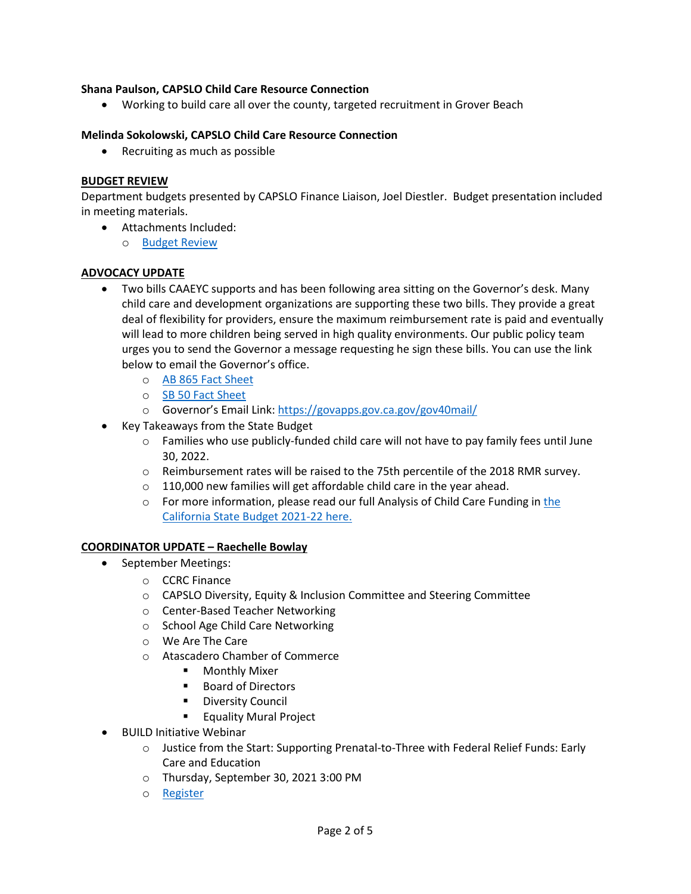## **Shana Paulson, CAPSLO Child Care Resource Connection**

• Working to build care all over the county, targeted recruitment in Grover Beach

### **Melinda Sokolowski, CAPSLO Child Care Resource Connection**

• Recruiting as much as possible

### **BUDGET REVIEW**

Department budgets presented by CAPSLO Finance Liaison, Joel Diestler. Budget presentation included in meeting materials.

- Attachments Included:
	- o [Budget Review](https://drive.google.com/file/d/1wa0fTQVScaIe-PJvCSsP386l3wcC7nKf/view?usp=sharing)

### **ADVOCACY UPDATE**

- Two bills CAAEYC supports and has been following area sitting on the Governor's desk. Many child care and development organizations are supporting these two bills. They provide a great deal of flexibility for providers, ensure the maximum reimbursement rate is paid and eventually will lead to more children being served in high quality environments. Our public policy team urges you to send the Governor a message requesting he sign these bills. You can use the link below to email the Governor's office.
	- o [AB 865 Fact Sheet](https://caeyc.org/files/7916/3234/0675/AB_865_Quirk-Silva_Child_Care_Fact_Sheet_-_approved.pdf)
	- o [SB 50 Fact Sheet](https://caeyc.org/files/2416/3234/0772/SB-50-Factsheet.pdf)
	- o Governor's Email Link:<https://govapps.gov.ca.gov/gov40mail/>
- Key Takeaways from the State Budget
	- $\circ$  Families who use publicly-funded child care will not have to pay family fees until June 30, 2022.
	- $\circ$  Reimbursement rates will be raised to the 75th percentile of the 2018 RMR survey.
	- $\circ$  110,000 new families will get affordable child care in the year ahead.
	- o For more information, please read our full Analysis of Child Care Funding in the [California State Budget 2021](https://www.childcarelaw.org/wp-content/uploads/2021/09/Analysis-of-Child-Care-Provisions-in-the-California-State-Budget-FY-21-22-Child-Care-Law-Center-9.23.21.pdf?eType=EmailBlastContent&eId=a921abf4-e0ff-4eda-ae5e-cc130288582f)-22 here.

### **COORDINATOR UPDATE – Raechelle Bowlay**

- September Meetings:
	- o CCRC Finance
	- o CAPSLO Diversity, Equity & Inclusion Committee and Steering Committee
	- o Center-Based Teacher Networking
	- o School Age Child Care Networking
	- o We Are The Care
	- o Atascadero Chamber of Commerce
		- **Monthly Mixer**
		- Board of Directors
		- **Diversity Council**
		- **Equality Mural Project**
- BUILD Initiative Webinar
	- $\circ$  Justice from the Start: Supporting Prenatal-to-Three with Federal Relief Funds: Early Care and Education
	- o Thursday, September 30, 2021 3:00 PM
	- o [Register](https://buildinitiative-org.zoom.us/webinar/register/WN_GsdLPvr_RbeIL3F3vcguOA)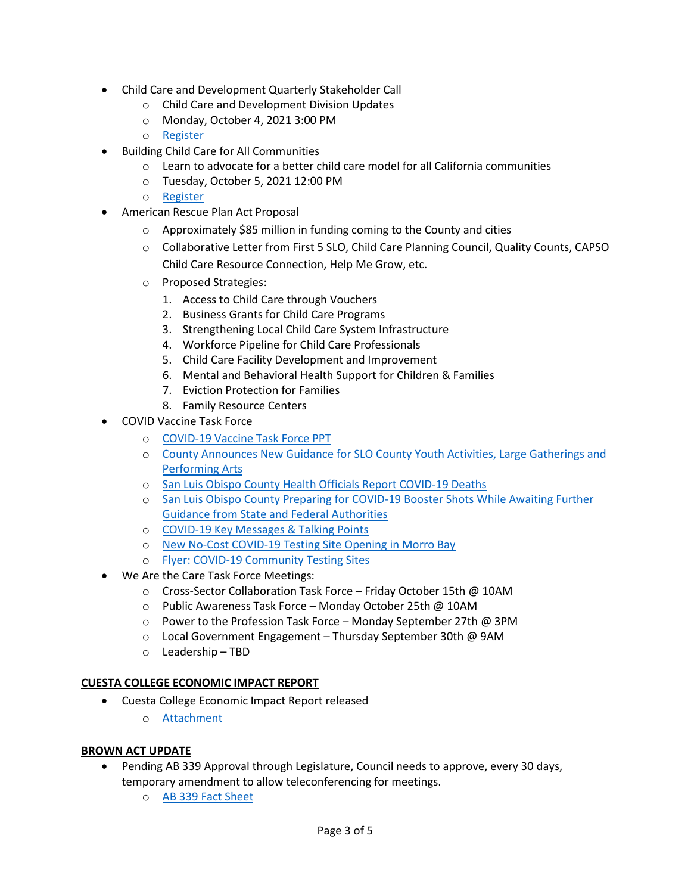- Child Care and Development Quarterly Stakeholder Call
	- o Child Care and Development Division Updates
	- o Monday, October 4, 2021 3:00 PM
	- o [Register](https://us02web.zoom.us/webinar/register/WN_Yaho3u32RcuraSWn9NoKPQ)
- Building Child Care for All Communities
	- $\circ$  Learn to advocate for a better child care model for all California communities
	- o Tuesday, October 5, 2021 12:00 PM
	- o [Register](https://lu.ma/intro-mixed-delivery?utm_source=CQEL+EdNews&utm_campaign=e8e4ba5b3f-EMAIL_CAMPAIGN_2021_09_23_09_14&utm_medium=email&utm_term=0_3ab28ecaa8-e8e4ba5b3f-205071445&mc_cid=e8e4ba5b3f&mc_eid=9cd5825243)
- American Rescue Plan Act Proposal
	- o Approximately \$85 million in funding coming to the County and cities
	- o Collaborative Letter from First 5 SLO, Child Care Planning Council, Quality Counts, CAPSO Child Care Resource Connection, Help Me Grow, etc.
	- o Proposed Strategies:
		- 1. Access to Child Care through Vouchers
		- 2. Business Grants for Child Care Programs
		- 3. Strengthening Local Child Care System Infrastructure
		- 4. Workforce Pipeline for Child Care Professionals
		- 5. Child Care Facility Development and Improvement
		- 6. Mental and Behavioral Health Support for Children & Families
		- 7. Eviction Protection for Families
		- 8. Family Resource Centers
- COVID Vaccine Task Force
	- o COVID-[19 Vaccine Task Force PPT](https://drive.google.com/file/d/1Ypv-30vw4er2aSBh1tOewf3D9NT-RLpT/view?usp=sharing)
	- o [County Announces New Guidance for SLO County Youth Activities, Large Gatherings and](https://drive.google.com/file/d/1Ev3Cr7OnJFjWx6QQwAOM8L8EDW-FJsea/view?usp=sharing)  [Performing Arts](https://drive.google.com/file/d/1Ev3Cr7OnJFjWx6QQwAOM8L8EDW-FJsea/view?usp=sharing)
	- o [San Luis Obispo County Health Officials Report COVID](https://drive.google.com/file/d/1QSMZ4FyUlDomDqHY_DMKpI80TtTEbMs2/view?usp=sharing)-19 Deaths
	- o [San Luis Obispo County Preparing for COVID](https://drive.google.com/file/d/1MTT4TKWkfHmNDjdV1I2VuSc27UAp4FYL/view?usp=sharing)-19 Booster Shots While Awaiting Further [Guidance from State and Federal Authorities](https://drive.google.com/file/d/1MTT4TKWkfHmNDjdV1I2VuSc27UAp4FYL/view?usp=sharing)
	- o COVID-[19 Key Messages & Talking Points](https://drive.google.com/file/d/1i3Vp9Do9yMa3hkqJLx2vkQn2IjAdY5p-/view?usp=sharing)
	- o New No-Cost COVID-[19 Testing Site Opening in Morro Bay](https://drive.google.com/file/d/13Qp2pfNxN_fnTHTA3WkHLaRbyeaQAyRC/view?usp=sharing)
	- o Flyer: COVID-[19 Community Testing Sites](https://drive.google.com/file/d/1PCr26xLtiVzId9HnOEpZLKiobH-pWstS/view)
- We Are the Care Task Force Meetings:
	- o Cross-Sector Collaboration Task Force Friday October 15th @ 10AM
	- o Public Awareness Task Force Monday October 25th @ 10AM
	- o Power to the Profession Task Force Monday September 27th @ 3PM
	- o Local Government Engagement Thursday September 30th @ 9AM
	- o Leadership TBD

# **CUESTA COLLEGE ECONOMIC IMPACT REPORT**

- Cuesta College Economic Impact Report released
	- o [Attachment](https://www.cuesta.edu/about/documents/inst_research/SLO_Childcare_Economic_Impact_Report.pdf)

### **BROWN ACT UPDATE**

- Pending AB 339 Approval through Legislature, Council needs to approve, every 30 days, temporary amendment to allow teleconferencing for meetings.
	- o [AB 339 Fact Sheet](https://leginfo.legislature.ca.gov/faces/billTextClient.xhtml?bill_id=202120220AB339)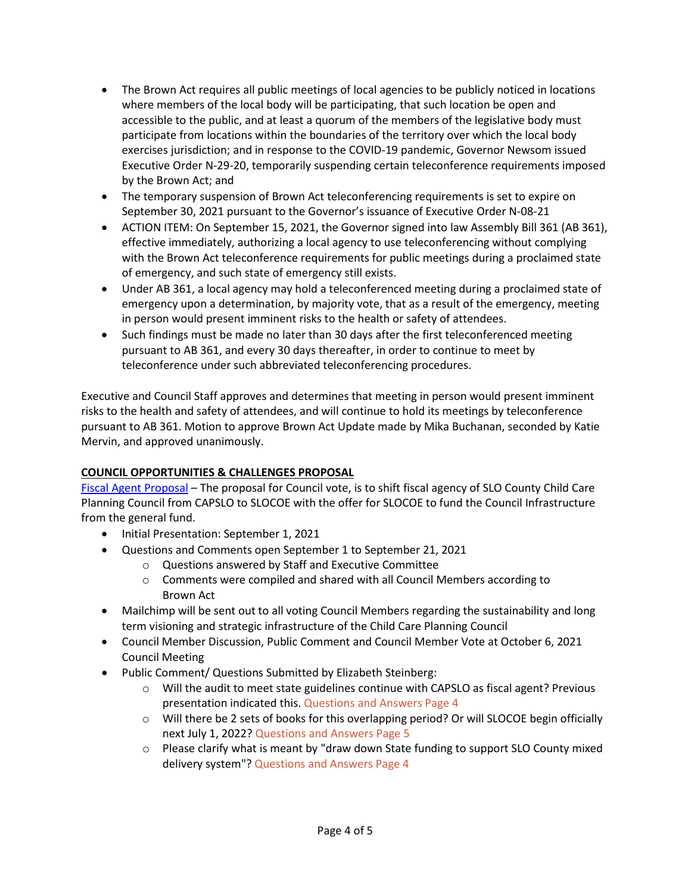- The Brown Act requires all public meetings of local agencies to be publicly noticed in locations where members of the local body will be participating, that such location be open and accessible to the public, and at least a quorum of the members of the legislative body must participate from locations within the boundaries of the territory over which the local body exercises jurisdiction; and in response to the COVID-19 pandemic, Governor Newsom issued Executive Order N-29-20, temporarily suspending certain teleconference requirements imposed by the Brown Act; and
- The temporary suspension of Brown Act teleconferencing requirements is set to expire on September 30, 2021 pursuant to the Governor's issuance of Executive Order N-08-21
- ACTION ITEM: On September 15, 2021, the Governor signed into law Assembly Bill 361 (AB 361), effective immediately, authorizing a local agency to use teleconferencing without complying with the Brown Act teleconference requirements for public meetings during a proclaimed state of emergency, and such state of emergency still exists.
- Under AB 361, a local agency may hold a teleconferenced meeting during a proclaimed state of emergency upon a determination, by majority vote, that as a result of the emergency, meeting in person would present imminent risks to the health or safety of attendees.
- Such findings must be made no later than 30 days after the first teleconferenced meeting pursuant to AB 361, and every 30 days thereafter, in order to continue to meet by teleconference under such abbreviated teleconferencing procedures.

Executive and Council Staff approves and determines that meeting in person would present imminent risks to the health and safety of attendees, and will continue to hold its meetings by teleconference pursuant to AB 361. Motion to approve Brown Act Update made by Mika Buchanan, seconded by Katie Mervin, and approved unanimously.

# **COUNCIL OPPORTUNITIES & CHALLENGES PROPOSAL**

[Fiscal Agent Proposal](http://www.sanluischildcare.org/fiscal-agent-proposal.html) – The proposal for Council vote, is to shift fiscal agency of SLO County Child Care Planning Council from CAPSLO to SLOCOE with the offer for SLOCOE to fund the Council Infrastructure from the general fund.

- Initial Presentation: September 1, 2021
- Questions and Comments open September 1 to September 21, 2021
	- o Questions answered by Staff and Executive Committee
	- o Comments were compiled and shared with all Council Members according to Brown Act
- Mailchimp will be sent out to all voting Council Members regarding the sustainability and long term visioning and strategic infrastructure of the Child Care Planning Council
- Council Member Discussion, Public Comment and Council Member Vote at October 6, 2021 Council Meeting
- Public Comment/ Questions Submitted by Elizabeth Steinberg:
	- $\circ$  Will the audit to meet state guidelines continue with CAPSLO as fiscal agent? Previous presentation indicated this. Questions and Answers Page 4
	- $\circ$  Will there be 2 sets of books for this overlapping period? Or will SLOCOE begin officially next July 1, 2022? Questions and Answers Page 5
	- o Please clarify what is meant by "draw down State funding to support SLO County mixed delivery system"? Questions and Answers Page 4